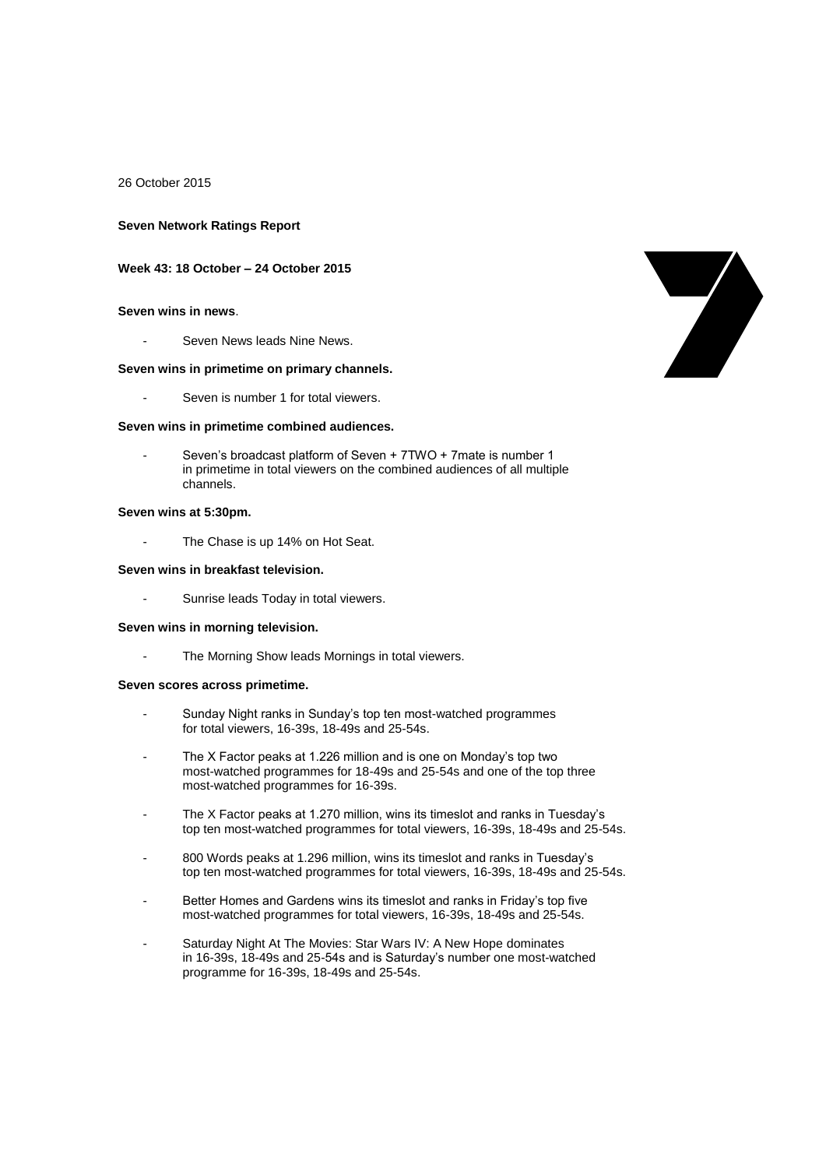26 October 2015

#### **Seven Network Ratings Report**

#### **Week 43: 18 October – 24 October 2015**

#### **Seven wins in news**.

Seven News leads Nine News.

#### **Seven wins in primetime on primary channels.**

Seven is number 1 for total viewers.

#### **Seven wins in primetime combined audiences.**

Seven's broadcast platform of Seven + 7TWO + 7mate is number 1 in primetime in total viewers on the combined audiences of all multiple channels.

#### **Seven wins at 5:30pm.**

The Chase is up 14% on Hot Seat.

# **Seven wins in breakfast television.**

Sunrise leads Today in total viewers.

### **Seven wins in morning television.**

- The Morning Show leads Mornings in total viewers.

#### **Seven scores across primetime.**

- Sunday Night ranks in Sunday's top ten most-watched programmes for total viewers, 16-39s, 18-49s and 25-54s.
- The X Factor peaks at 1.226 million and is one on Monday's top two most-watched programmes for 18-49s and 25-54s and one of the top three most-watched programmes for 16-39s.
- The X Factor peaks at 1.270 million, wins its timeslot and ranks in Tuesday's top ten most-watched programmes for total viewers, 16-39s, 18-49s and 25-54s.
- 800 Words peaks at 1.296 million, wins its timeslot and ranks in Tuesday's top ten most-watched programmes for total viewers, 16-39s, 18-49s and 25-54s.
- Better Homes and Gardens wins its timeslot and ranks in Friday's top five most-watched programmes for total viewers, 16-39s, 18-49s and 25-54s.
- Saturday Night At The Movies: Star Wars IV: A New Hope dominates in 16-39s, 18-49s and 25-54s and is Saturday's number one most-watched programme for 16-39s, 18-49s and 25-54s.

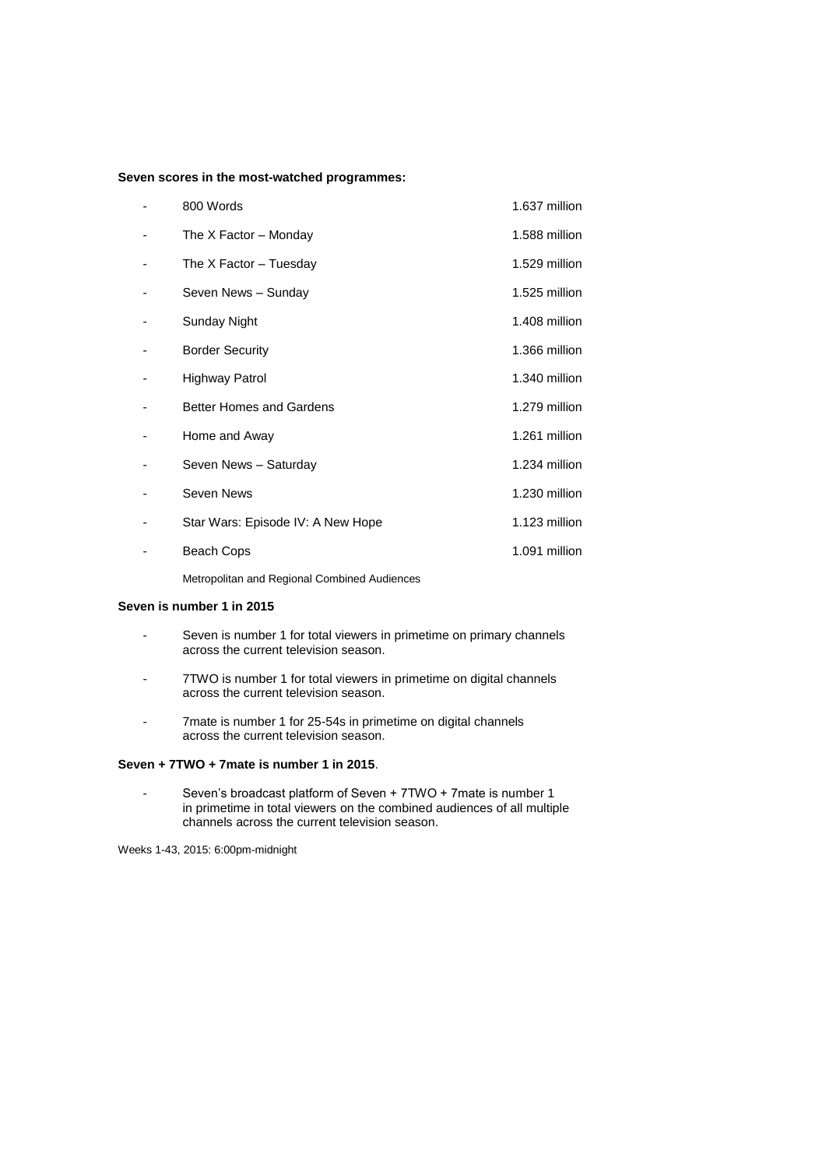### **Seven scores in the most-watched programmes:**

| 800 Words                         | 1.637 million |
|-----------------------------------|---------------|
| The X Factor – Monday             | 1.588 million |
| The X Factor - Tuesday            | 1.529 million |
| Seven News - Sunday               | 1.525 million |
| Sunday Night                      | 1.408 million |
| <b>Border Security</b>            | 1.366 million |
| Highway Patrol                    | 1.340 million |
| <b>Better Homes and Gardens</b>   | 1.279 million |
| Home and Away                     | 1.261 million |
| Seven News - Saturday             | 1.234 million |
| Seven News                        | 1.230 million |
| Star Wars: Episode IV: A New Hope | 1.123 million |
| <b>Beach Cops</b>                 | 1.091 million |
|                                   |               |

Metropolitan and Regional Combined Audiences

# **Seven is number 1 in 2015**

- Seven is number 1 for total viewers in primetime on primary channels across the current television season.
- 7TWO is number 1 for total viewers in primetime on digital channels across the current television season.
- 7mate is number 1 for 25-54s in primetime on digital channels across the current television season.

### **Seven + 7TWO + 7mate is number 1 in 2015**.

- Seven's broadcast platform of Seven + 7TWO + 7mate is number 1 in primetime in total viewers on the combined audiences of all multiple channels across the current television season.

Weeks 1-43, 2015: 6:00pm-midnight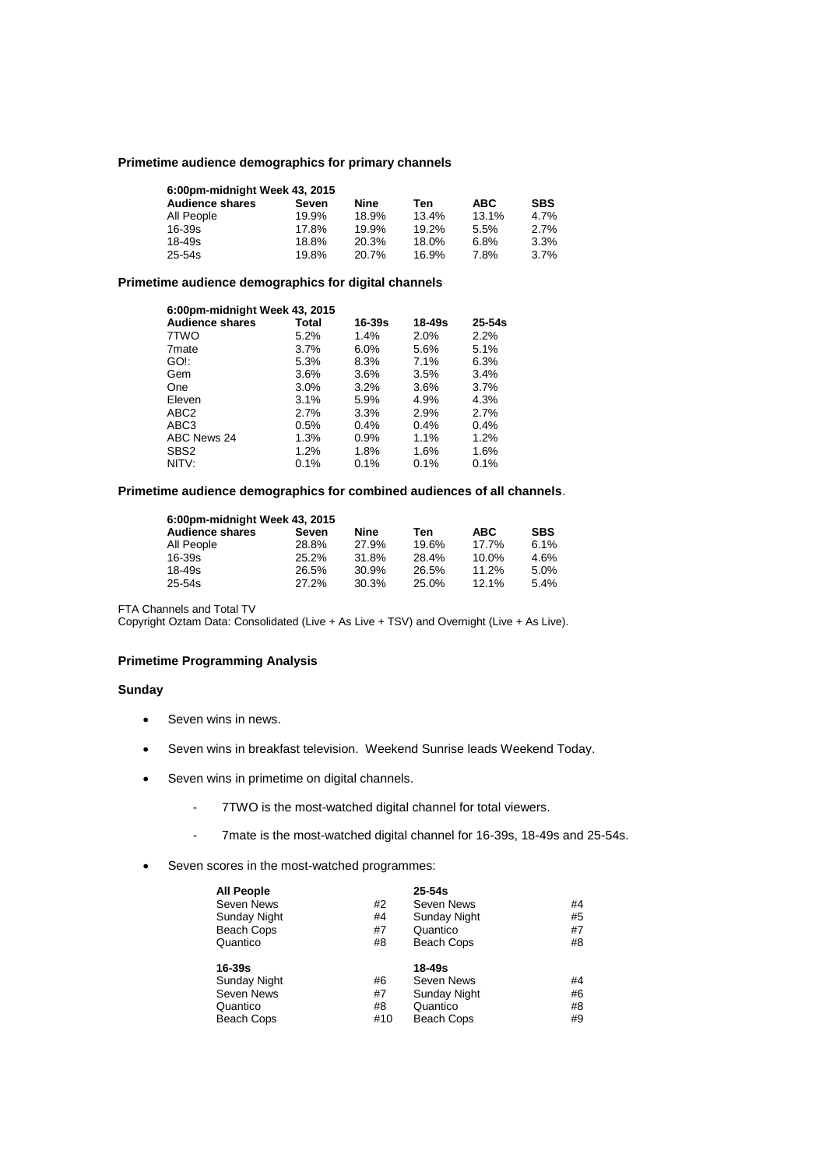### **Primetime audience demographics for primary channels**

| 6:00pm-midnight Week 43, 2015 |       |       |       |            |            |
|-------------------------------|-------|-------|-------|------------|------------|
| <b>Audience shares</b>        | Seven | Nine  | Ten   | <b>ABC</b> | <b>SBS</b> |
| All People                    | 19.9% | 18.9% | 13.4% | 13.1%      | 4.7%       |
| $16 - 39s$                    | 17.8% | 19.9% | 19.2% | 5.5%       | 2.7%       |
| $18 - 49s$                    | 18.8% | 20.3% | 18.0% | 6.8%       | 3.3%       |
| $25 - 54s$                    | 19.8% | 20.7% | 16.9% | 7.8%       | 3.7%       |

# **Primetime audience demographics for digital channels**

| 6:00pm-midnight Week 43, 2015 |         |         |        |            |  |
|-------------------------------|---------|---------|--------|------------|--|
| <b>Audience shares</b>        | Total   | 16-39s  | 18-49s | $25 - 54s$ |  |
| 7TWO                          | 5.2%    | 1.4%    | 2.0%   | 2.2%       |  |
| 7 <sub>mate</sub>             | $3.7\%$ | 6.0%    | 5.6%   | 5.1%       |  |
| GO!:                          | 5.3%    | 8.3%    | 7.1%   | 6.3%       |  |
| Gem                           | 3.6%    | 3.6%    | 3.5%   | 3.4%       |  |
| One                           | $3.0\%$ | 3.2%    | 3.6%   | 3.7%       |  |
| Eleven                        | 3.1%    | 5.9%    | 4.9%   | 4.3%       |  |
| ABC <sub>2</sub>              | 2.7%    | 3.3%    | 2.9%   | 2.7%       |  |
| ABC3                          | $0.5\%$ | $0.4\%$ | 0.4%   | 0.4%       |  |
| ABC News 24                   | 1.3%    | 0.9%    | 1.1%   | 1.2%       |  |
| SBS <sub>2</sub>              | 1.2%    | 1.8%    | 1.6%   | 1.6%       |  |
| NITV:                         | 0.1%    | 0.1%    | 0.1%   | 0.1%       |  |

# **Primetime audience demographics for combined audiences of all channels**.

| 6:00pm-midnight Week 43, 2015 |       |       |       |            |            |  |
|-------------------------------|-------|-------|-------|------------|------------|--|
| <b>Audience shares</b>        | Seven | Nine  | Ten   | <b>ABC</b> | <b>SBS</b> |  |
| All People                    | 28.8% | 27.9% | 19.6% | 17.7%      | 6.1%       |  |
| 16-39s                        | 25.2% | 31.8% | 28.4% | $10.0\%$   | 4.6%       |  |
| 18-49s                        | 26.5% | 30.9% | 26.5% | 11.2%      | 5.0%       |  |
| 25-54s                        | 27.2% | 30.3% | 25.0% | 12.1%      | 5.4%       |  |

FTA Channels and Total TV

Copyright Oztam Data: Consolidated (Live + As Live + TSV) and Overnight (Live + As Live).

# **Primetime Programming Analysis**

### **Sunday**

- Seven wins in news.
- Seven wins in breakfast television. Weekend Sunrise leads Weekend Today.
- Seven wins in primetime on digital channels.
	- 7TWO is the most-watched digital channel for total viewers.
	- 7mate is the most-watched digital channel for 16-39s, 18-49s and 25-54s.
- Seven scores in the most-watched programmes:

| All People   |     | $25 - 54s$          |    |
|--------------|-----|---------------------|----|
| Seven News   | #2  | Seven News          | #4 |
| Sunday Night | #4  | Sunday Night        | #5 |
| Beach Cops   | #7  | Quantico            | #7 |
| Quantico     | #8  | Beach Cops          | #8 |
| 16-39s       |     | 18-49s              |    |
| Sunday Night | #6  | Seven News          | #4 |
| Seven News   | #7  | <b>Sunday Night</b> | #6 |
| Quantico     | #8  | Quantico            | #8 |
| Beach Cops   | #10 | Beach Cops          | #9 |
|              |     |                     |    |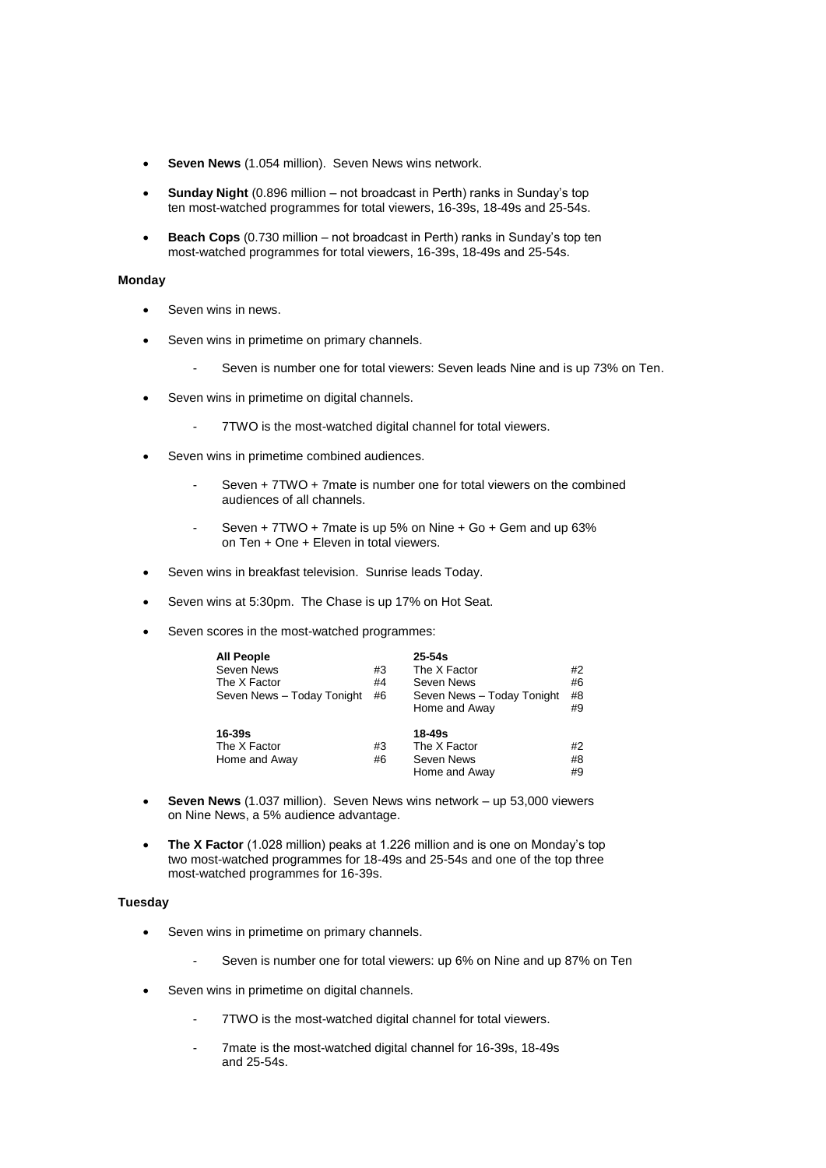- **Seven News** (1.054 million). Seven News wins network.
- **Sunday Night** (0.896 million not broadcast in Perth) ranks in Sunday's top ten most-watched programmes for total viewers, 16-39s, 18-49s and 25-54s.
- **Beach Cops** (0.730 million not broadcast in Perth) ranks in Sunday's top ten most-watched programmes for total viewers, 16-39s, 18-49s and 25-54s.

### **Monday**

- Seven wins in news.
- Seven wins in primetime on primary channels.
	- Seven is number one for total viewers: Seven leads Nine and is up 73% on Ten.
- Seven wins in primetime on digital channels.
	- 7TWO is the most-watched digital channel for total viewers.
- Seven wins in primetime combined audiences.
	- Seven + 7TWO + 7mate is number one for total viewers on the combined audiences of all channels.
	- Seven + 7TWO + 7mate is up 5% on Nine + Go + Gem and up 63% on Ten + One + Eleven in total viewers.
- Seven wins in breakfast television. Sunrise leads Today.
- Seven wins at 5:30pm. The Chase is up 17% on Hot Seat.
- Seven scores in the most-watched programmes:

| <b>All People</b>          |    | $25 - 54s$                 |    |
|----------------------------|----|----------------------------|----|
| Seven News                 | #3 | The X Factor               | #2 |
| The X Factor               | #4 | Seven News                 | #6 |
| Seven News - Today Tonight | #6 | Seven News - Today Tonight | #8 |
|                            |    | Home and Away              | #9 |
| 16-39s                     |    | 18-49s                     |    |
| The X Factor               | #3 | The X Factor               | #2 |
| Home and Away              | #6 | Seven News                 | #8 |
|                            |    | Home and Away              | #9 |

- **Seven News** (1.037 million). Seven News wins network up 53,000 viewers on Nine News, a 5% audience advantage.
- **The X Factor** (1.028 million) peaks at 1.226 million and is one on Monday's top two most-watched programmes for 18-49s and 25-54s and one of the top three most-watched programmes for 16-39s.

#### **Tuesday**

- Seven wins in primetime on primary channels.
	- Seven is number one for total viewers: up 6% on Nine and up 87% on Ten
- Seven wins in primetime on digital channels.
	- 7TWO is the most-watched digital channel for total viewers.
	- 7mate is the most-watched digital channel for 16-39s, 18-49s and 25-54s.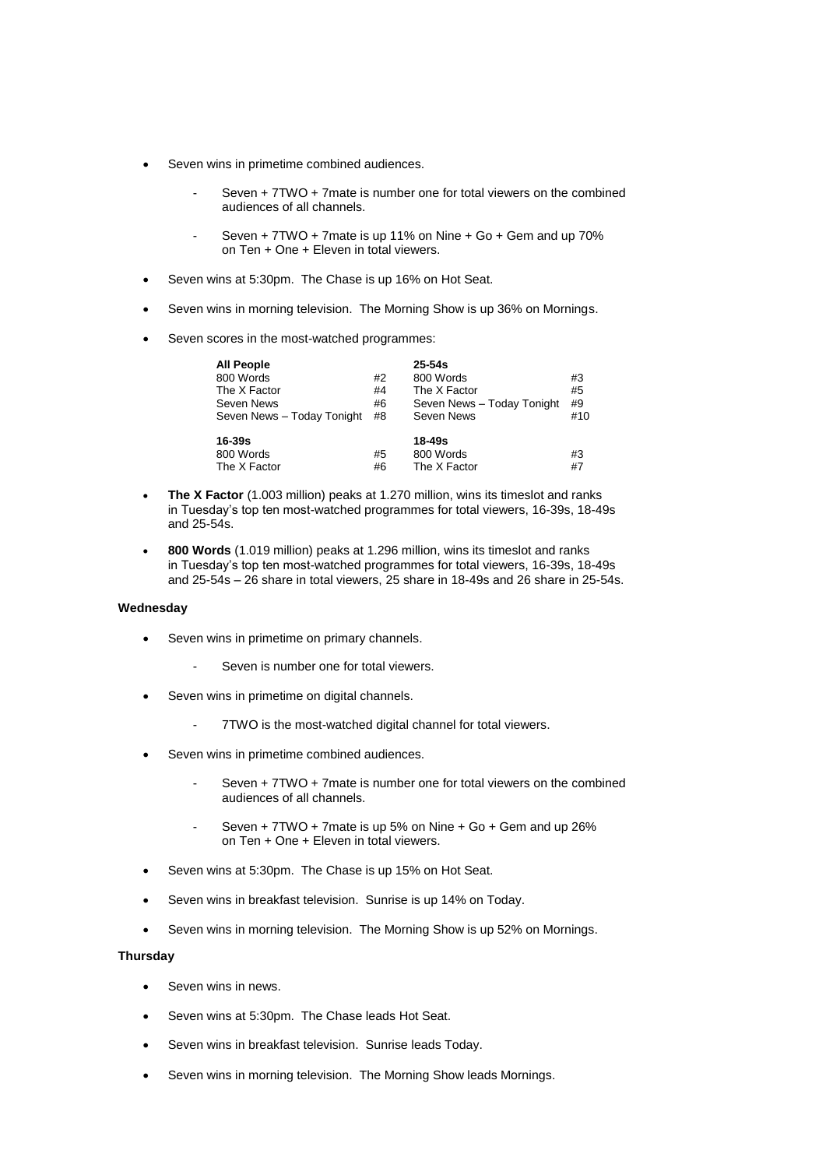- Seven wins in primetime combined audiences.
	- Seven + 7TWO + 7mate is number one for total viewers on the combined audiences of all channels.
	- Seven + 7TWO + 7mate is up 11% on Nine + Go + Gem and up 70% on Ten + One + Eleven in total viewers.
- Seven wins at 5:30pm. The Chase is up 16% on Hot Seat.
- Seven wins in morning television. The Morning Show is up 36% on Mornings.
- Seven scores in the most-watched programmes:

| <b>All People</b>          |    | $25 - 54s$                 |     |
|----------------------------|----|----------------------------|-----|
| 800 Words                  | #2 | 800 Words                  | #3  |
| The X Factor               | #4 | The X Factor               | #5  |
| Seven News                 | #6 | Seven News - Today Tonight | #9  |
| Seven News - Today Tonight | #8 | Seven News                 | #10 |
| 16-39s                     |    | 18-49s                     |     |
| 800 Words                  | #5 | 800 Words                  | #3  |
| The X Factor               | #6 | The X Factor               | #7  |

- **The X Factor** (1.003 million) peaks at 1.270 million, wins its timeslot and ranks in Tuesday's top ten most-watched programmes for total viewers, 16-39s, 18-49s and 25-54s.
- **800 Words** (1.019 million) peaks at 1.296 million, wins its timeslot and ranks in Tuesday's top ten most-watched programmes for total viewers, 16-39s, 18-49s and 25-54s – 26 share in total viewers, 25 share in 18-49s and 26 share in 25-54s.

#### **Wednesday**

- Seven wins in primetime on primary channels.
	- Seven is number one for total viewers.
- Seven wins in primetime on digital channels.
	- 7TWO is the most-watched digital channel for total viewers.
- Seven wins in primetime combined audiences.
	- Seven + 7TWO + 7mate is number one for total viewers on the combined audiences of all channels.
	- Seven + 7TWO + 7mate is up 5% on Nine + Go + Gem and up 26% on Ten + One + Eleven in total viewers.
- Seven wins at 5:30pm. The Chase is up 15% on Hot Seat.
- Seven wins in breakfast television. Sunrise is up 14% on Today.
- Seven wins in morning television. The Morning Show is up 52% on Mornings.

#### **Thursday**

- Seven wins in news.
- Seven wins at 5:30pm. The Chase leads Hot Seat.
- Seven wins in breakfast television. Sunrise leads Today.
- Seven wins in morning television. The Morning Show leads Mornings.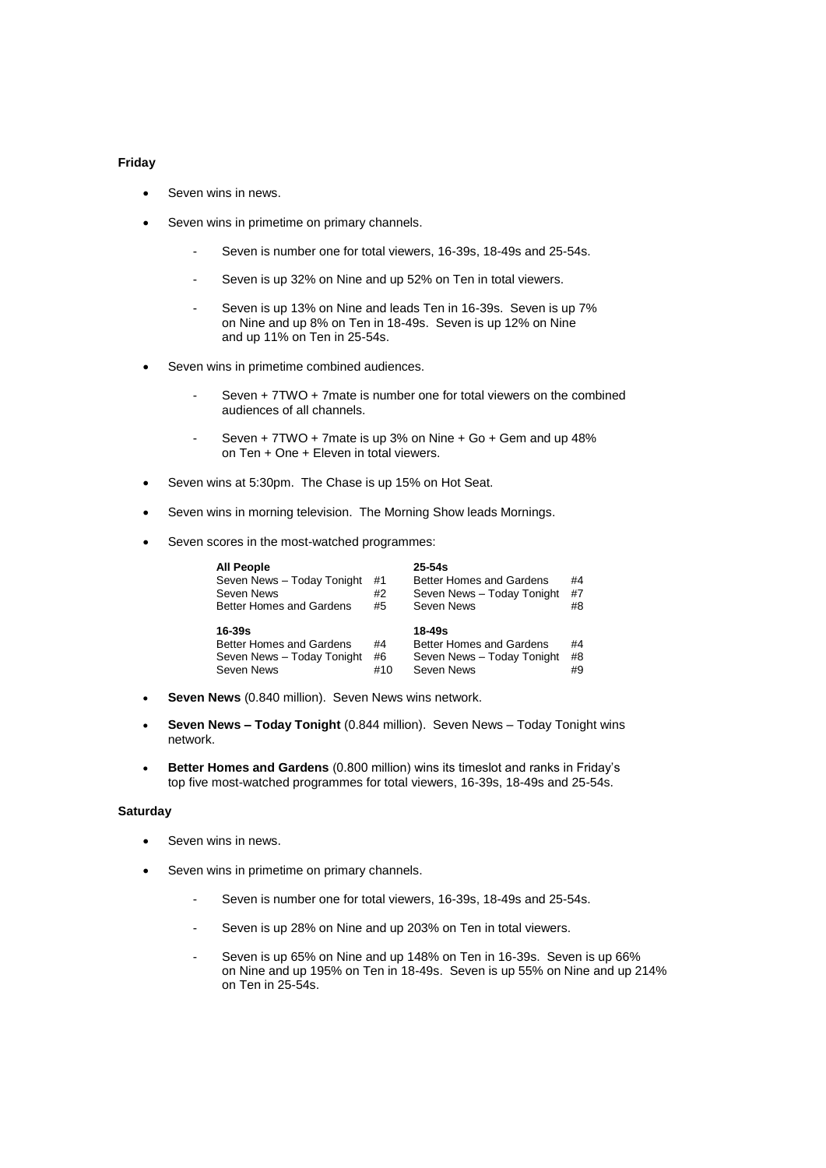### **Friday**

- Seven wins in news.
- Seven wins in primetime on primary channels.
	- Seven is number one for total viewers, 16-39s, 18-49s and 25-54s.
	- Seven is up 32% on Nine and up 52% on Ten in total viewers.
	- Seven is up 13% on Nine and leads Ten in 16-39s. Seven is up 7% on Nine and up 8% on Ten in 18-49s. Seven is up 12% on Nine and up 11% on Ten in 25-54s.
- Seven wins in primetime combined audiences.
	- Seven + 7TWO + 7mate is number one for total viewers on the combined audiences of all channels.
	- Seven + 7TWO + 7mate is up 3% on Nine + Go + Gem and up 48% on Ten + One + Eleven in total viewers.
- Seven wins at 5:30pm. The Chase is up 15% on Hot Seat.
- Seven wins in morning television. The Morning Show leads Mornings.
- Seven scores in the most-watched programmes:

| <b>All People</b><br>Seven News - Today Tonight<br>Seven News<br><b>Better Homes and Gardens</b> | #1<br>#2<br>#5  | $25 - 54s$<br>Better Homes and Gardens<br>Seven News - Today Tonight<br>Seven News | #4<br>#7<br>#8 |
|--------------------------------------------------------------------------------------------------|-----------------|------------------------------------------------------------------------------------|----------------|
| $16 - 39s$<br><b>Better Homes and Gardens</b><br>Seven News - Today Tonight<br>Seven News        | #4<br>#6<br>#10 | 18-49s<br>Better Homes and Gardens<br>Seven News - Today Tonight<br>Seven News     | #4<br>#8<br>#9 |

- **Seven News** (0.840 million). Seven News wins network.
- **Seven News – Today Tonight** (0.844 million). Seven News Today Tonight wins network.
- **Better Homes and Gardens** (0.800 million) wins its timeslot and ranks in Friday's top five most-watched programmes for total viewers, 16-39s, 18-49s and 25-54s.

# **Saturday**

- Seven wins in news.
- Seven wins in primetime on primary channels.
	- Seven is number one for total viewers, 16-39s, 18-49s and 25-54s.
	- Seven is up 28% on Nine and up 203% on Ten in total viewers.
	- Seven is up 65% on Nine and up 148% on Ten in 16-39s. Seven is up 66% on Nine and up 195% on Ten in 18-49s. Seven is up 55% on Nine and up 214% on Ten in 25-54s.